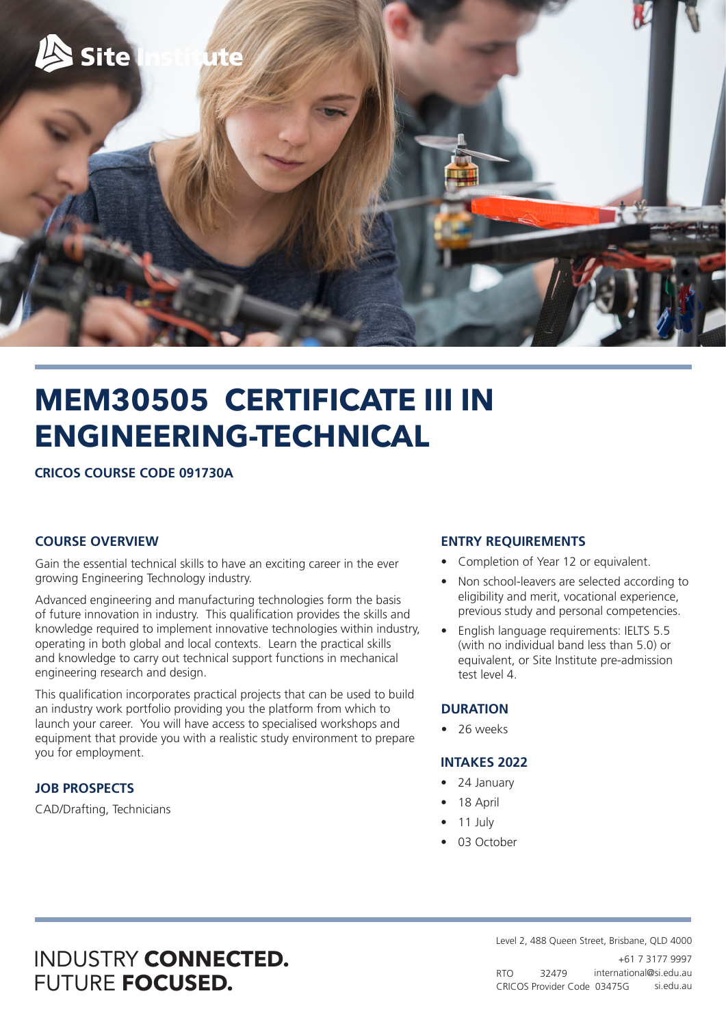

# **MEM30505 CERTIFICATE III IN ENGINEERING-TECHNICAL**

**CRICOS COURSE CODE 091730A**

#### **COURSE OVERVIEW**

Gain the essential technical skills to have an exciting career in the ever growing Engineering Technology industry.

Advanced engineering and manufacturing technologies form the basis of future innovation in industry. This qualification provides the skills and knowledge required to implement innovative technologies within industry, operating in both global and local contexts. Learn the practical skills and knowledge to carry out technical support functions in mechanical engineering research and design.

This qualification incorporates practical projects that can be used to build an industry work portfolio providing you the platform from which to launch your career. You will have access to specialised workshops and equipment that provide you with a realistic study environment to prepare you for employment.

#### **JOB PROSPECTS**

CAD/Drafting, Technicians

#### **ENTRY REQUIREMENTS**

- Completion of Year 12 or equivalent.
- Non school-leavers are selected according to eligibility and merit, vocational experience, previous study and personal competencies.
- English language requirements: IELTS 5.5 (with no individual band less than 5.0) or equivalent, or Site Institute pre-admission test level 4.

#### **DURATION**

• 26 weeks

#### **INTAKES 2022**

- 24 January
- 18 April
- 11 July
- 03 October

## INDUSTRY **CONNECTED.** FUTURE **FOCUSED.**

RTO 32479 CRICOS Provider Code 03475G si.edu.au Level 2, 488 Queen Street, Brisbane, QLD 4000 +61 7 3177 9997 international@si.edu.au